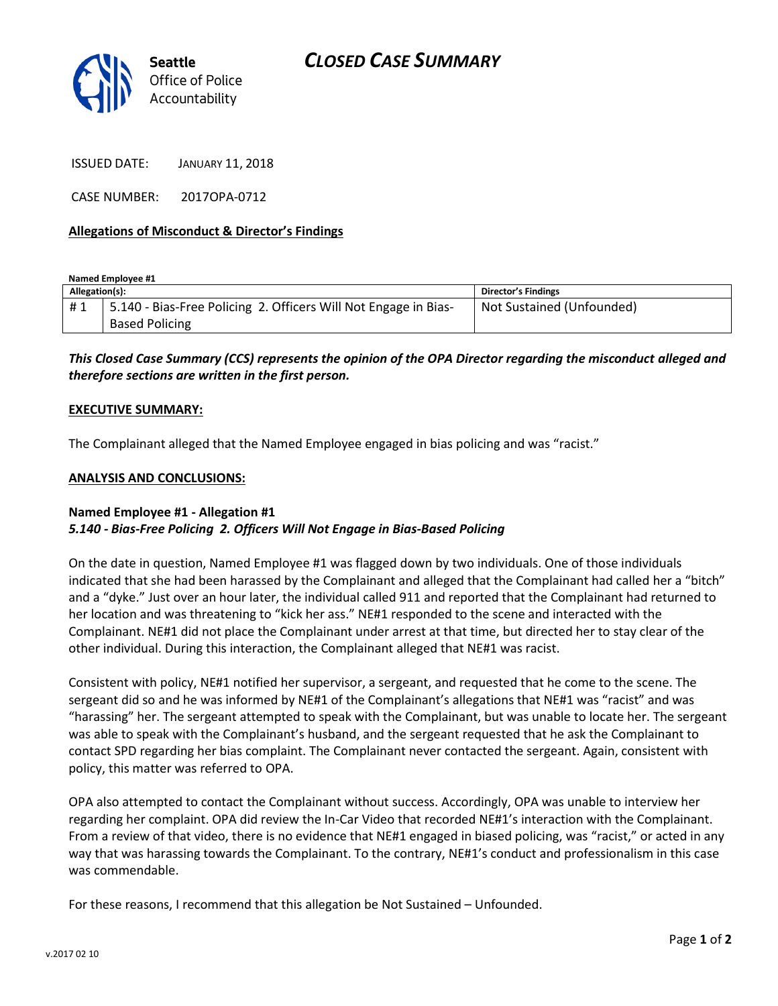

ISSUED DATE: JANUARY 11, 2018

CASE NUMBER: 2017OPA-0712

### **Allegations of Misconduct & Director's Findings**

**Named Employee #1**

| Allegation(s): |                                                                 | Director's Findings       |
|----------------|-----------------------------------------------------------------|---------------------------|
| #1             | 5.140 - Bias-Free Policing 2. Officers Will Not Engage in Bias- | Not Sustained (Unfounded) |
|                | <b>Based Policing</b>                                           |                           |

*This Closed Case Summary (CCS) represents the opinion of the OPA Director regarding the misconduct alleged and therefore sections are written in the first person.* 

#### **EXECUTIVE SUMMARY:**

The Complainant alleged that the Named Employee engaged in bias policing and was "racist."

#### **ANALYSIS AND CONCLUSIONS:**

## **Named Employee #1 - Allegation #1** *5.140 - Bias-Free Policing 2. Officers Will Not Engage in Bias-Based Policing*

On the date in question, Named Employee #1 was flagged down by two individuals. One of those individuals indicated that she had been harassed by the Complainant and alleged that the Complainant had called her a "bitch" and a "dyke." Just over an hour later, the individual called 911 and reported that the Complainant had returned to her location and was threatening to "kick her ass." NE#1 responded to the scene and interacted with the Complainant. NE#1 did not place the Complainant under arrest at that time, but directed her to stay clear of the other individual. During this interaction, the Complainant alleged that NE#1 was racist.

Consistent with policy, NE#1 notified her supervisor, a sergeant, and requested that he come to the scene. The sergeant did so and he was informed by NE#1 of the Complainant's allegations that NE#1 was "racist" and was "harassing" her. The sergeant attempted to speak with the Complainant, but was unable to locate her. The sergeant was able to speak with the Complainant's husband, and the sergeant requested that he ask the Complainant to contact SPD regarding her bias complaint. The Complainant never contacted the sergeant. Again, consistent with policy, this matter was referred to OPA.

OPA also attempted to contact the Complainant without success. Accordingly, OPA was unable to interview her regarding her complaint. OPA did review the In-Car Video that recorded NE#1's interaction with the Complainant. From a review of that video, there is no evidence that NE#1 engaged in biased policing, was "racist," or acted in any way that was harassing towards the Complainant. To the contrary, NE#1's conduct and professionalism in this case was commendable.

For these reasons, I recommend that this allegation be Not Sustained – Unfounded.